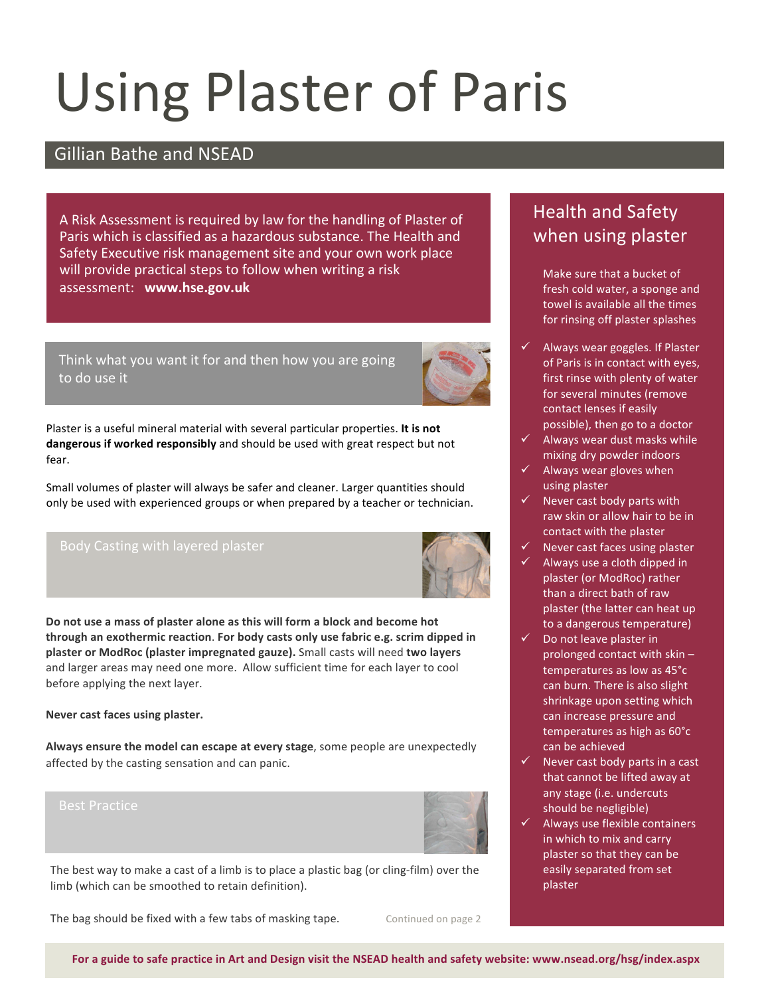# Using
Plaster
of
Paris

### Gillian Bathe and NSEAD

A
Risk
Assessment
is
required
by
law
for
the
handling
of
Plaster
of Paris which is classified as a hazardous substance. The Health and Safety
Executive
risk
management
site
and
your
own
work
place will provide practical steps to follow when writing a risk assessment: **www.hse.gov.uk**

Think what you want it for and then how you are going to
do
use
it



Plaster is a useful mineral material with several particular properties. **It is not dangerous if worked responsibly** and should be used with great respect but not fear.

Small volumes of plaster will always be safer and cleaner. Larger quantities should only be used with experienced groups or when prepared by a teacher or technician.



**Do not use a mass of plaster alone as this will form a block and become hot through an exothermic reaction**. **For body casts only use fabric e.g. scrim dipped in plaster or ModRoc (plaster impregnated gauze).** Small casts will need **two layers** and larger areas may need one more. Allow sufficient time for each layer to cool before applying the next layer.

#### **Never cast faces using plaster.**

**Always ensure the model can escape at every stage**, some people are unexpectedly affected by the casting sensation and can panic.



The best way to make a cast of a limb is to place a plastic bag (or cling-film) over the limb (which can be smoothed to retain definition).

The bag should be fixed with a few tabs of masking tape.

Continued on page 2

## Health and Safety when using plaster

Make sure that a bucket of fresh cold water, a sponge and towel is available all the times for rinsing off plaster splashes

- Always wear goggles. If Plaster of Paris is in contact with eyes, first rinse with plenty of water for several minutes (remove contact lenses if easily possible), then go to a doctor
- $\checkmark$  Always wear dust masks while mixing dry powder indoors
- Always wear gloves when using plaster
- $\checkmark$  Never cast body parts with raw skin or allow hair to be in contact with the plaster
- Never cast faces using plaster
- Always use a cloth dipped in plaster (or ModRoc) rather than a direct bath of raw plaster (the latter can heat up to a dangerous temperature)
- Do not leave plaster in prolonged contact with skin – temperatures as low as 45°c can burn. There is also slight shrinkage upon setting which can increase pressure and temperatures as high as 60°c can be achieved
- Never cast body parts in a cast that cannot be lifted away at any stage (i.e. undercuts should be negligible)
- Always use flexible containers in which to mix and carry plaster so that they can be easily separated from set plaster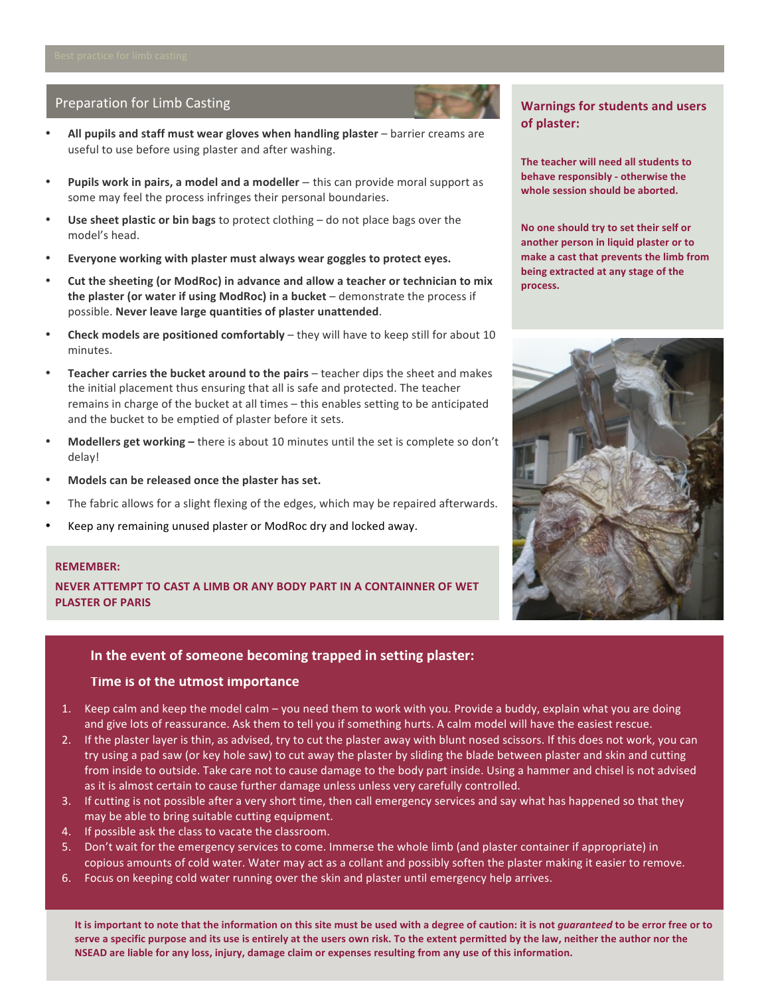#### Preparation
for
Limb
Casting

- **All pupils and staff must wear gloves when handling plaster** barrier creams are useful to use before using plaster and after washing.
- **Pupils work in pairs, a model and a modeller** this can provide moral support as some may feel the process infringes their personal boundaries.
- **Use sheet plastic or bin bags** to protect clothing do not place bags over the model's head.
- **Everyone working with plaster must always wear goggles to protect eyes.**
- **Cut the sheeting (or ModRoc) in advance and allow a teacher or technician to mix the plaster (or water if using ModRoc) in a bucket** – demonstrate the process if possible. **Never leave large quantities of plaster unattended**.
- **Check models are positioned comfortably** they will have to keep still for about 10 minutes.
- **Teacher carries the bucket around to the pairs** teacher dips the sheet and makes the initial placement thus ensuring that all is safe and protected. The teacher remains in charge of the bucket at all times – this enables setting to be anticipated and the bucket to be emptied of plaster before it sets.
- **Modellers get working –** there is about 10 minutes until the set is complete so don't delay!
- **Models can be released once the plaster has set.**
- The fabric allows for a slight flexing of the edges, which may be repaired afterwards.
- Keep any remaining unused plaster or ModRoc dry and locked away.

#### **REMEMBER:**

**NEVER ATTEMPT TO CAST A LIMB OR ANY BODY PART IN A CONTAINNER OF WET PLASTER OF PARIS**

#### **In
the
event
of
someone
becoming
trapped
in
setting
plaster:**

#### **Time
is
of
the
utmost
importance**

- 1. Keep calm and keep the model calm you need them to work with you. Provide a buddy, explain what you are doing and give lots of reassurance. Ask them to tell you if something hurts. A calm model will have the easiest rescue.
- 2. If the plaster layer is thin, as advised, try to cut the plaster away with blunt nosed scissors. If this does not work, you can try using a pad saw (or key hole saw) to cut away the plaster by sliding the blade between plaster and skin and cutting from inside to outside. Take care not to cause damage to the body part inside. Using a hammer and chisel is not advised as it is almost certain to cause further damage unless unless very carefully controlled.
- 3. If cutting is not possible after a very short time, then call emergency services and say what has happened so that they may be able to bring suitable cutting equipment.
- 4. If possible ask the class to vacate the classroom.
- 5. Don't wait for the emergency services to come. Immerse the whole limb (and plaster container if appropriate) in copious amounts of cold water. Water may act as a collant and possibly soften the plaster making it easier to remove.
- 6. Focus on keeping cold water running over the skin and plaster until emergency help arrives.

It is important to note that the information on this site must be used with a degree of caution: it is not guaranteed to be error free or to serve a specific purpose and its use is entirely at the users own risk. To the extent permitted by the law, neither the author nor the NSEAD are liable for any loss, injury, damage claim or expenses resulting from any use of this information.

#### **Warnings for students and users of plaster:**

**The teacher will need all students to behave responsibly ‐ otherwise the whole session should be aborted.**

**No one should try to set their self or another person in liquid plaster or to make a cast that prevents the limb from being extracted at any stage of the process.**